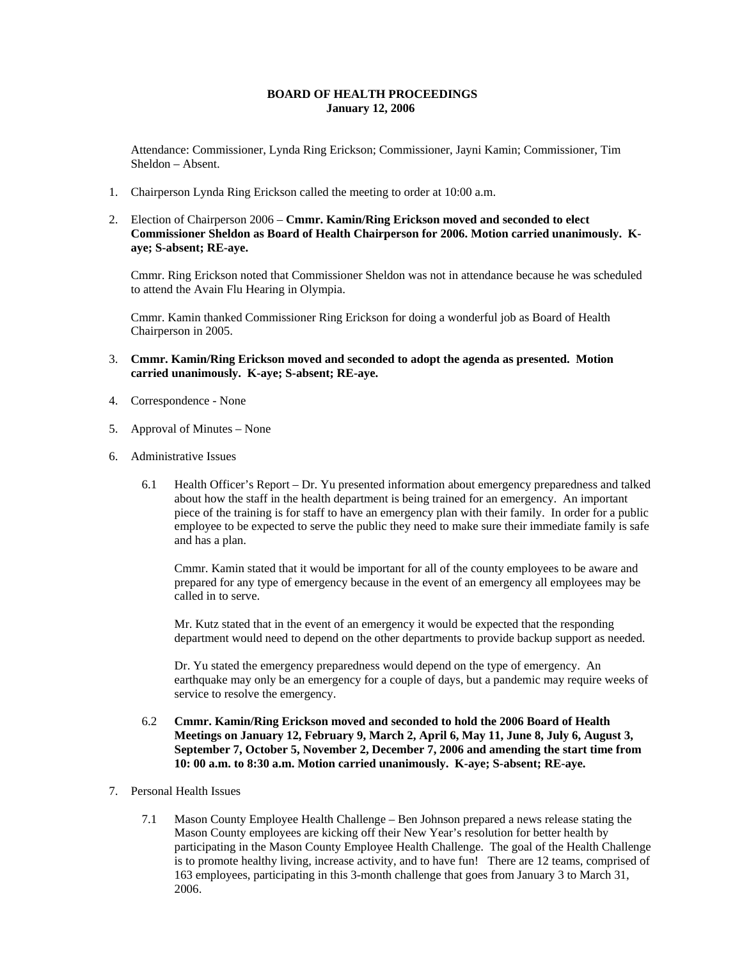## **BOARD OF HEALTH PROCEEDINGS January 12, 2006**

Attendance: Commissioner, Lynda Ring Erickson; Commissioner, Jayni Kamin; Commissioner, Tim Sheldon – Absent.

- 1. Chairperson Lynda Ring Erickson called the meeting to order at 10:00 a.m.
- 2. Election of Chairperson 2006 **Cmmr. Kamin/Ring Erickson moved and seconded to elect Commissioner Sheldon as Board of Health Chairperson for 2006. Motion carried unanimously. Kaye; S-absent; RE-aye.**

Cmmr. Ring Erickson noted that Commissioner Sheldon was not in attendance because he was scheduled to attend the Avain Flu Hearing in Olympia.

Cmmr. Kamin thanked Commissioner Ring Erickson for doing a wonderful job as Board of Health Chairperson in 2005.

- 3. **Cmmr. Kamin/Ring Erickson moved and seconded to adopt the agenda as presented. Motion carried unanimously. K-aye; S-absent; RE-aye.**
- 4. Correspondence None
- 5. Approval of Minutes None
- 6. Administrative Issues
	- 6.1 Health Officer's Report Dr. Yu presented information about emergency preparedness and talked about how the staff in the health department is being trained for an emergency. An important piece of the training is for staff to have an emergency plan with their family. In order for a public employee to be expected to serve the public they need to make sure their immediate family is safe and has a plan.

Cmmr. Kamin stated that it would be important for all of the county employees to be aware and prepared for any type of emergency because in the event of an emergency all employees may be called in to serve.

Mr. Kutz stated that in the event of an emergency it would be expected that the responding department would need to depend on the other departments to provide backup support as needed.

Dr. Yu stated the emergency preparedness would depend on the type of emergency. An earthquake may only be an emergency for a couple of days, but a pandemic may require weeks of service to resolve the emergency.

- 6.2 **Cmmr. Kamin/Ring Erickson moved and seconded to hold the 2006 Board of Health Meetings on January 12, February 9, March 2, April 6, May 11, June 8, July 6, August 3, September 7, October 5, November 2, December 7, 2006 and amending the start time from 10: 00 a.m. to 8:30 a.m. Motion carried unanimously. K-aye; S-absent; RE-aye.**
- 7. Personal Health Issues
	- 7.1 Mason County Employee Health Challenge Ben Johnson prepared a news release stating the Mason County employees are kicking off their New Year's resolution for better health by participating in the Mason County Employee Health Challenge. The goal of the Health Challenge is to promote healthy living, increase activity, and to have fun! There are 12 teams, comprised of 163 employees, participating in this 3-month challenge that goes from January 3 to March 31, 2006.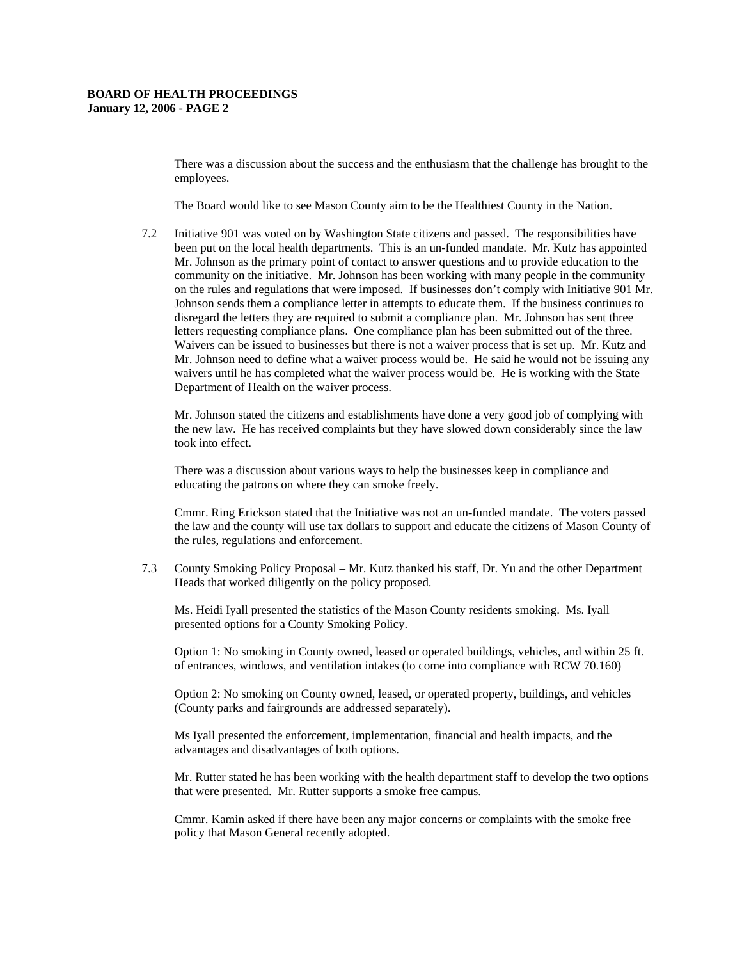There was a discussion about the success and the enthusiasm that the challenge has brought to the employees.

The Board would like to see Mason County aim to be the Healthiest County in the Nation.

7.2 Initiative 901 was voted on by Washington State citizens and passed. The responsibilities have been put on the local health departments. This is an un-funded mandate. Mr. Kutz has appointed Mr. Johnson as the primary point of contact to answer questions and to provide education to the community on the initiative. Mr. Johnson has been working with many people in the community on the rules and regulations that were imposed. If businesses don't comply with Initiative 901 Mr. Johnson sends them a compliance letter in attempts to educate them. If the business continues to disregard the letters they are required to submit a compliance plan. Mr. Johnson has sent three letters requesting compliance plans. One compliance plan has been submitted out of the three. Waivers can be issued to businesses but there is not a waiver process that is set up. Mr. Kutz and Mr. Johnson need to define what a waiver process would be. He said he would not be issuing any waivers until he has completed what the waiver process would be. He is working with the State Department of Health on the waiver process.

Mr. Johnson stated the citizens and establishments have done a very good job of complying with the new law. He has received complaints but they have slowed down considerably since the law took into effect.

There was a discussion about various ways to help the businesses keep in compliance and educating the patrons on where they can smoke freely.

Cmmr. Ring Erickson stated that the Initiative was not an un-funded mandate. The voters passed the law and the county will use tax dollars to support and educate the citizens of Mason County of the rules, regulations and enforcement.

7.3 County Smoking Policy Proposal – Mr. Kutz thanked his staff, Dr. Yu and the other Department Heads that worked diligently on the policy proposed.

Ms. Heidi Iyall presented the statistics of the Mason County residents smoking. Ms. Iyall presented options for a County Smoking Policy.

Option 1: No smoking in County owned, leased or operated buildings, vehicles, and within 25 ft. of entrances, windows, and ventilation intakes (to come into compliance with RCW 70.160)

Option 2: No smoking on County owned, leased, or operated property, buildings, and vehicles (County parks and fairgrounds are addressed separately).

Ms Iyall presented the enforcement, implementation, financial and health impacts, and the advantages and disadvantages of both options.

Mr. Rutter stated he has been working with the health department staff to develop the two options that were presented. Mr. Rutter supports a smoke free campus.

Cmmr. Kamin asked if there have been any major concerns or complaints with the smoke free policy that Mason General recently adopted.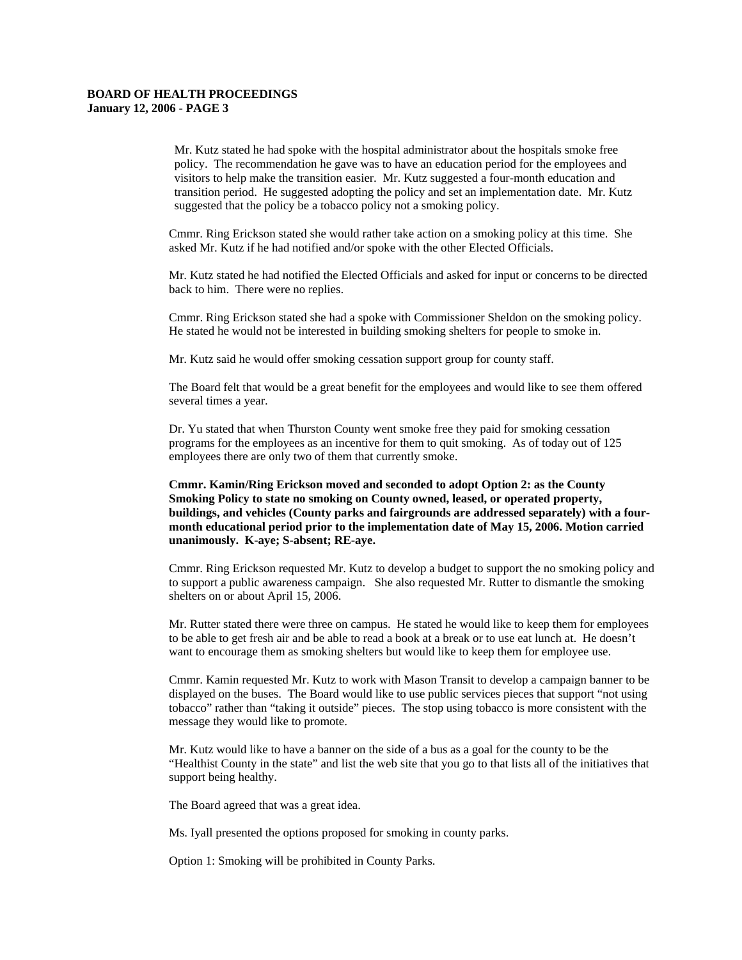Mr. Kutz stated he had spoke with the hospital administrator about the hospitals smoke free policy. The recommendation he gave was to have an education period for the employees and visitors to help make the transition easier. Mr. Kutz suggested a four-month education and transition period. He suggested adopting the policy and set an implementation date. Mr. Kutz suggested that the policy be a tobacco policy not a smoking policy.

Cmmr. Ring Erickson stated she would rather take action on a smoking policy at this time. She asked Mr. Kutz if he had notified and/or spoke with the other Elected Officials.

Mr. Kutz stated he had notified the Elected Officials and asked for input or concerns to be directed back to him. There were no replies.

Cmmr. Ring Erickson stated she had a spoke with Commissioner Sheldon on the smoking policy. He stated he would not be interested in building smoking shelters for people to smoke in.

Mr. Kutz said he would offer smoking cessation support group for county staff.

The Board felt that would be a great benefit for the employees and would like to see them offered several times a year.

Dr. Yu stated that when Thurston County went smoke free they paid for smoking cessation programs for the employees as an incentive for them to quit smoking. As of today out of 125 employees there are only two of them that currently smoke.

**Cmmr. Kamin/Ring Erickson moved and seconded to adopt Option 2: as the County Smoking Policy to state no smoking on County owned, leased, or operated property, buildings, and vehicles (County parks and fairgrounds are addressed separately) with a fourmonth educational period prior to the implementation date of May 15, 2006. Motion carried unanimously. K-aye; S-absent; RE-aye.** 

Cmmr. Ring Erickson requested Mr. Kutz to develop a budget to support the no smoking policy and to support a public awareness campaign. She also requested Mr. Rutter to dismantle the smoking shelters on or about April 15, 2006.

Mr. Rutter stated there were three on campus. He stated he would like to keep them for employees to be able to get fresh air and be able to read a book at a break or to use eat lunch at. He doesn't want to encourage them as smoking shelters but would like to keep them for employee use.

Cmmr. Kamin requested Mr. Kutz to work with Mason Transit to develop a campaign banner to be displayed on the buses. The Board would like to use public services pieces that support "not using tobacco" rather than "taking it outside" pieces. The stop using tobacco is more consistent with the message they would like to promote.

Mr. Kutz would like to have a banner on the side of a bus as a goal for the county to be the "Healthist County in the state" and list the web site that you go to that lists all of the initiatives that support being healthy.

The Board agreed that was a great idea.

Ms. Iyall presented the options proposed for smoking in county parks.

Option 1: Smoking will be prohibited in County Parks.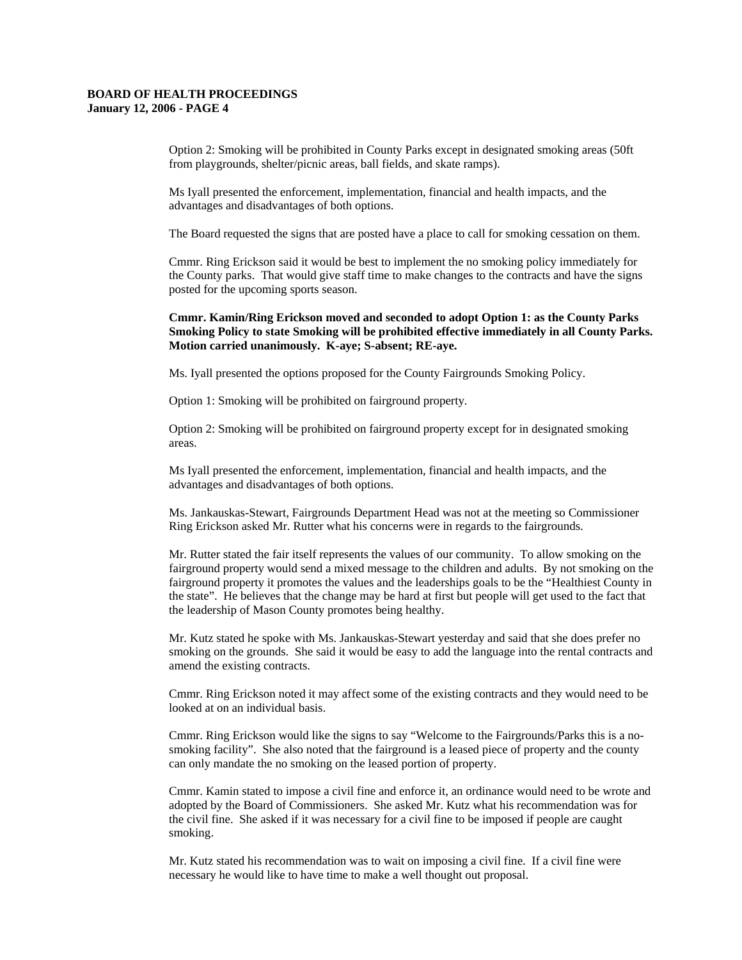Option 2: Smoking will be prohibited in County Parks except in designated smoking areas (50ft from playgrounds, shelter/picnic areas, ball fields, and skate ramps).

Ms Iyall presented the enforcement, implementation, financial and health impacts, and the advantages and disadvantages of both options.

The Board requested the signs that are posted have a place to call for smoking cessation on them.

Cmmr. Ring Erickson said it would be best to implement the no smoking policy immediately for the County parks. That would give staff time to make changes to the contracts and have the signs posted for the upcoming sports season.

## **Cmmr. Kamin/Ring Erickson moved and seconded to adopt Option 1: as the County Parks Smoking Policy to state Smoking will be prohibited effective immediately in all County Parks. Motion carried unanimously. K-aye; S-absent; RE-aye.**

Ms. Iyall presented the options proposed for the County Fairgrounds Smoking Policy.

Option 1: Smoking will be prohibited on fairground property.

Option 2: Smoking will be prohibited on fairground property except for in designated smoking areas.

Ms Iyall presented the enforcement, implementation, financial and health impacts, and the advantages and disadvantages of both options.

Ms. Jankauskas-Stewart, Fairgrounds Department Head was not at the meeting so Commissioner Ring Erickson asked Mr. Rutter what his concerns were in regards to the fairgrounds.

Mr. Rutter stated the fair itself represents the values of our community. To allow smoking on the fairground property would send a mixed message to the children and adults. By not smoking on the fairground property it promotes the values and the leaderships goals to be the "Healthiest County in the state". He believes that the change may be hard at first but people will get used to the fact that the leadership of Mason County promotes being healthy.

Mr. Kutz stated he spoke with Ms. Jankauskas-Stewart yesterday and said that she does prefer no smoking on the grounds. She said it would be easy to add the language into the rental contracts and amend the existing contracts.

Cmmr. Ring Erickson noted it may affect some of the existing contracts and they would need to be looked at on an individual basis.

Cmmr. Ring Erickson would like the signs to say "Welcome to the Fairgrounds/Parks this is a nosmoking facility". She also noted that the fairground is a leased piece of property and the county can only mandate the no smoking on the leased portion of property.

Cmmr. Kamin stated to impose a civil fine and enforce it, an ordinance would need to be wrote and adopted by the Board of Commissioners. She asked Mr. Kutz what his recommendation was for the civil fine. She asked if it was necessary for a civil fine to be imposed if people are caught smoking.

Mr. Kutz stated his recommendation was to wait on imposing a civil fine. If a civil fine were necessary he would like to have time to make a well thought out proposal.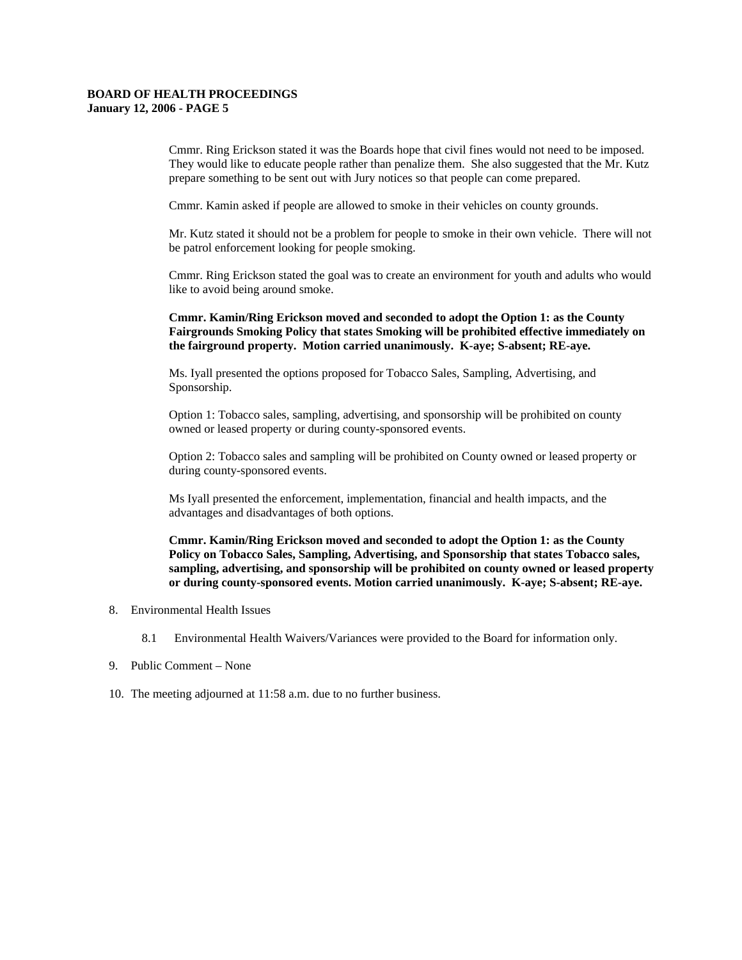Cmmr. Ring Erickson stated it was the Boards hope that civil fines would not need to be imposed. They would like to educate people rather than penalize them. She also suggested that the Mr. Kutz prepare something to be sent out with Jury notices so that people can come prepared.

Cmmr. Kamin asked if people are allowed to smoke in their vehicles on county grounds.

Mr. Kutz stated it should not be a problem for people to smoke in their own vehicle. There will not be patrol enforcement looking for people smoking.

Cmmr. Ring Erickson stated the goal was to create an environment for youth and adults who would like to avoid being around smoke.

**Cmmr. Kamin/Ring Erickson moved and seconded to adopt the Option 1: as the County Fairgrounds Smoking Policy that states Smoking will be prohibited effective immediately on the fairground property. Motion carried unanimously. K-aye; S-absent; RE-aye.** 

Ms. Iyall presented the options proposed for Tobacco Sales, Sampling, Advertising, and Sponsorship.

Option 1: Tobacco sales, sampling, advertising, and sponsorship will be prohibited on county owned or leased property or during county-sponsored events.

Option 2: Tobacco sales and sampling will be prohibited on County owned or leased property or during county-sponsored events.

Ms Iyall presented the enforcement, implementation, financial and health impacts, and the advantages and disadvantages of both options.

**Cmmr. Kamin/Ring Erickson moved and seconded to adopt the Option 1: as the County Policy on Tobacco Sales, Sampling, Advertising, and Sponsorship that states Tobacco sales, sampling, advertising, and sponsorship will be prohibited on county owned or leased property or during county-sponsored events. Motion carried unanimously. K-aye; S-absent; RE-aye.** 

- 8. Environmental Health Issues
	- 8.1 Environmental Health Waivers/Variances were provided to the Board for information only.
- 9. Public Comment None
- 10. The meeting adjourned at 11:58 a.m. due to no further business.